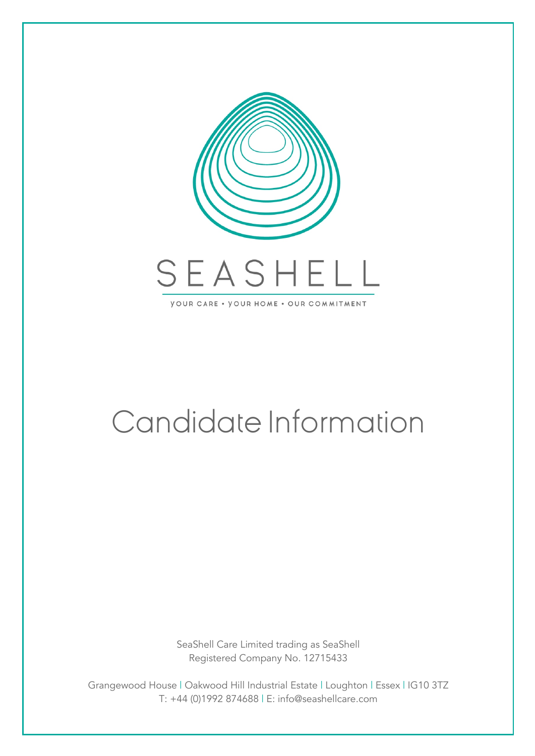

# Candidate Information

SeaShell Care Limited trading as SeaShell Registered Company No. 12715433

Grangewood House | Oakwood Hill Industrial Estate | Loughton | Essex | IG10 3TZ T: +44 (0)1992 874688 | E: info@seashellcare.com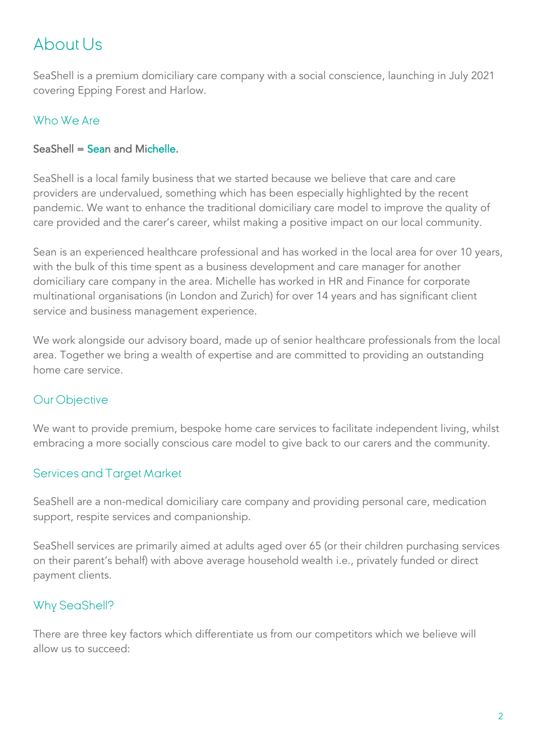# About Us

SeaShell is a premium domiciliary care company with a social conscience, launching in July 2021 covering Epping Forest and Harlow.

# Who We Are

#### SeaShell = Sean and Michelle.

SeaShell is a local family business that we started because we believe that care and care providers are undervalued, something which has been especially highlighted by the recent pandemic. We want to enhance the traditional domiciliary care model to improve the quality of care provided and the carer's career, whilst making a positive impact on our local community.

Sean is an experienced healthcare professional and has worked in the local area for over 10 years, with the bulk of this time spent as a business development and care manager for another domiciliary care company in the area. Michelle has worked in HR and Finance for corporate multinational organisations (in London and Zurich) for over 14 years and has significant client service and business management experience.

We work alongside our advisory board, made up of senior healthcare professionals from the local area. Together we bring a wealth of expertise and are committed to providing an outstanding home care service.

# Our Objective

We want to provide premium, bespoke home care services to facilitate independent living, whilst embracing a more socially conscious care model to give back to our carers and the community.

#### Services and Target Market

SeaShell are a non-medical domiciliary care company and providing personal care, medication support, respite services and companionship.

SeaShell services are primarily aimed at adults aged over 65 (or their children purchasing services on their parent's behalf) with above average household wealth i.e., privately funded or direct payment clients.

# Why SeaShell?

There are three key factors which differentiate us from our competitors which we believe will allow us to succeed: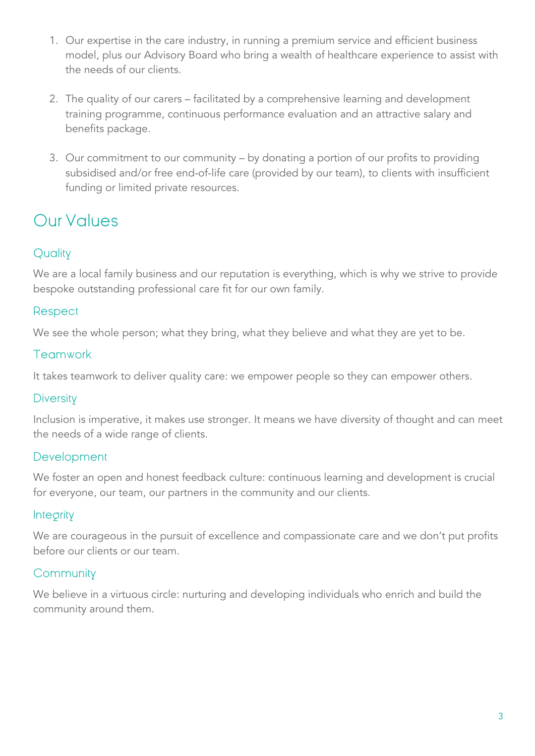- 1. Our expertise in the care industry, in running a premium service and efficient business model, plus our Advisory Board who bring a wealth of healthcare experience to assist with the needs of our clients.
- 2. The quality of our carers facilitated by a comprehensive learning and development training programme, continuous performance evaluation and an attractive salary and benefits package.
- 3. Our commitment to our community by donating a portion of our profits to providing subsidised and/or free end-of-life care (provided by our team), to clients with insufficient funding or limited private resources.

# Our Values

# **Quality**

We are a local family business and our reputation is everything, which is why we strive to provide bespoke outstanding professional care fit for our own family.

## Respect

We see the whole person; what they bring, what they believe and what they are yet to be.

## **Teamwork**

It takes teamwork to deliver quality care: we empower people so they can empower others.

#### **Diversity**

Inclusion is imperative, it makes use stronger. It means we have diversity of thought and can meet the needs of a wide range of clients.

#### Development

We foster an open and honest feedback culture: continuous learning and development is crucial for everyone, our team, our partners in the community and our clients.

#### **Integrity**

We are courageous in the pursuit of excellence and compassionate care and we don't put profits before our clients or our team.

# **Community**

We believe in a virtuous circle: nurturing and developing individuals who enrich and build the community around them.